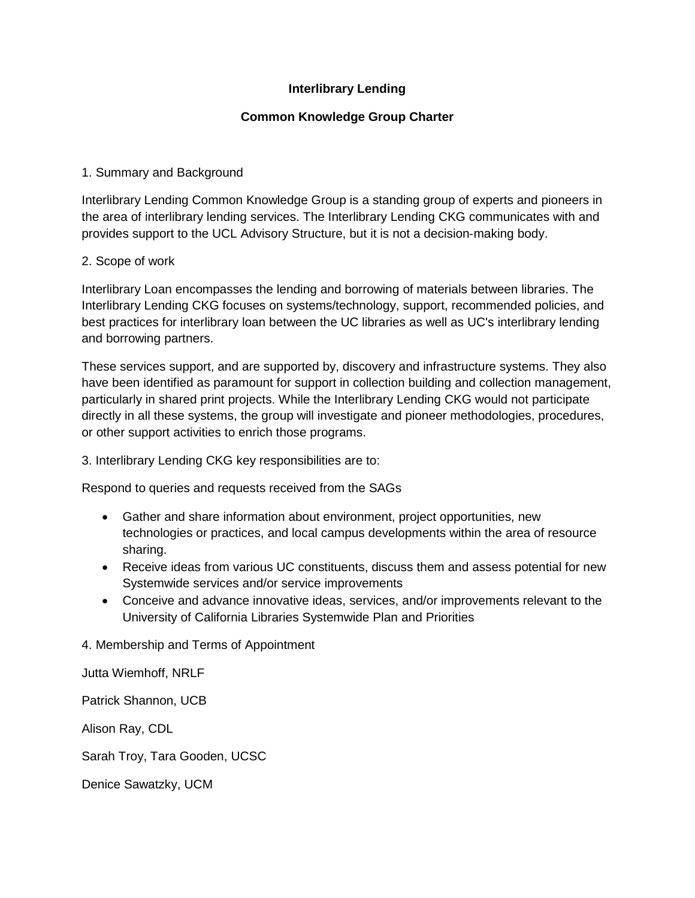# **Interlibrary Lending**

## **Common Knowledge Group Charter**

## 1. Summary and Background

Interlibrary Lending Common Knowledge Group is a standing group of experts and pioneers in the area of interlibrary lending services. The Interlibrary Lending CKG communicates with and provides support to the UCL Advisory Structure, but it is not a decision‐making body.

#### 2. Scope of work

Interlibrary Loan encompasses the lending and borrowing of materials between libraries. The Interlibrary Lending CKG focuses on systems/technology, support, recommended policies, and best practices for interlibrary loan between the UC libraries as well as UC's interlibrary lending and borrowing partners.

These services support, and are supported by, discovery and infrastructure systems. They also have been identified as paramount for support in collection building and collection management, particularly in shared print projects. While the Interlibrary Lending CKG would not participate directly in all these systems, the group will investigate and pioneer methodologies, procedures, or other support activities to enrich those programs.

3. Interlibrary Lending CKG key responsibilities are to:

Respond to queries and requests received from the SAGs

- Gather and share information about environment, project opportunities, new technologies or practices, and local campus developments within the area of resource sharing.
- Receive ideas from various UC constituents, discuss them and assess potential for new Systemwide services and/or service improvements
- Conceive and advance innovative ideas, services, and/or improvements relevant to the University of California Libraries Systemwide Plan and Priorities

4. Membership and Terms of Appointment

Jutta Wiemhoff, NRLF

Patrick Shannon, UCB

Alison Ray, CDL

Sarah Troy, Tara Gooden, UCSC

Denice Sawatzky, UCM